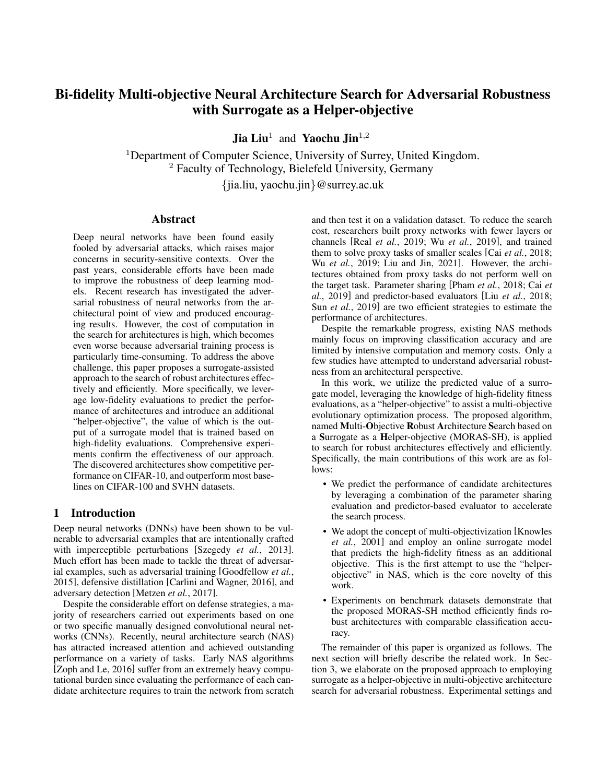# Bi-fidelity Multi-objective Neural Architecture Search for Adversarial Robustness with Surrogate as a Helper-objective

**Jia Liu<sup>1</sup>** and Yaochu Jin<sup>1,2</sup>

<sup>1</sup>Department of Computer Science, University of Surrey, United Kingdom. <sup>2</sup> Faculty of Technology, Bielefeld University, Germany {jia.liu, yaochu.jin}@surrey.ac.uk

#### Abstract

Deep neural networks have been found easily fooled by adversarial attacks, which raises major concerns in security-sensitive contexts. Over the past years, considerable efforts have been made to improve the robustness of deep learning models. Recent research has investigated the adversarial robustness of neural networks from the architectural point of view and produced encouraging results. However, the cost of computation in the search for architectures is high, which becomes even worse because adversarial training process is particularly time-consuming. To address the above challenge, this paper proposes a surrogate-assisted approach to the search of robust architectures effectively and efficiently. More specifically, we leverage low-fidelity evaluations to predict the performance of architectures and introduce an additional "helper-objective", the value of which is the output of a surrogate model that is trained based on high-fidelity evaluations. Comprehensive experiments confirm the effectiveness of our approach. The discovered architectures show competitive performance on CIFAR-10, and outperform most baselines on CIFAR-100 and SVHN datasets.

## 1 Introduction

Deep neural networks (DNNs) have been shown to be vulnerable to adversarial examples that are intentionally crafted with imperceptible perturbations [\[Szegedy](#page-7-0) *et al.*, 2013]. Much effort has been made to tackle the threat of adversarial examples, such as adversarial training [\[Goodfellow](#page-6-0) *et al.*, [2015\]](#page-6-0), defensive distillation [\[Carlini and Wagner, 2016\]](#page-6-1), and adversary detection [\[Metzen](#page-7-1) *et al.*, 2017].

Despite the considerable effort on defense strategies, a majority of researchers carried out experiments based on one or two specific manually designed convolutional neural networks (CNNs). Recently, neural architecture search (NAS) has attracted increased attention and achieved outstanding performance on a variety of tasks. Early NAS algorithms [\[Zoph and Le, 2016\]](#page-7-2) suffer from an extremely heavy computational burden since evaluating the performance of each candidate architecture requires to train the network from scratch and then test it on a validation dataset. To reduce the search cost, researchers built proxy networks with fewer layers or channels [Real *et al.*[, 2019;](#page-7-3) Wu *et al.*[, 2019\]](#page-7-4), and trained them to solve proxy tasks of smaller scales [Cai *et al.*[, 2018;](#page-6-2) Wu *et al.*[, 2019;](#page-7-4) [Liu and Jin, 2021\]](#page-6-3). However, the architectures obtained from proxy tasks do not perform well on the target task. Parameter sharing [Pham *et al.*[, 2018;](#page-7-5) [Cai](#page-6-4) *et al.*[, 2019\]](#page-6-4) and predictor-based evaluators [Liu *et al.*[, 2018;](#page-6-5) Sun *et al.*[, 2019\]](#page-7-6) are two efficient strategies to estimate the performance of architectures.

Despite the remarkable progress, existing NAS methods mainly focus on improving classification accuracy and are limited by intensive computation and memory costs. Only a few studies have attempted to understand adversarial robustness from an architectural perspective.

In this work, we utilize the predicted value of a surrogate model, leveraging the knowledge of high-fidelity fitness evaluations, as a "helper-objective" to assist a multi-objective evolutionary optimization process. The proposed algorithm, named Multi-Objective Robust Architecture Search based on a Surrogate as a Helper-objective (MORAS-SH), is applied to search for robust architectures effectively and efficiently. Specifically, the main contributions of this work are as follows:

- We predict the performance of candidate architectures by leveraging a combination of the parameter sharing evaluation and predictor-based evaluator to accelerate the search process.
- We adopt the concept of multi-objectivization [\[Knowles](#page-6-6) *et al.*[, 2001\]](#page-6-6) and employ an online surrogate model that predicts the high-fidelity fitness as an additional objective. This is the first attempt to use the "helperobjective" in NAS, which is the core novelty of this work.
- Experiments on benchmark datasets demonstrate that the proposed MORAS-SH method efficiently finds robust architectures with comparable classification accuracy.

The remainder of this paper is organized as follows. The next section will briefly describe the related work. In Section [3,](#page-1-0) we elaborate on the proposed approach to employing surrogate as a helper-objective in multi-objective architecture search for adversarial robustness. Experimental settings and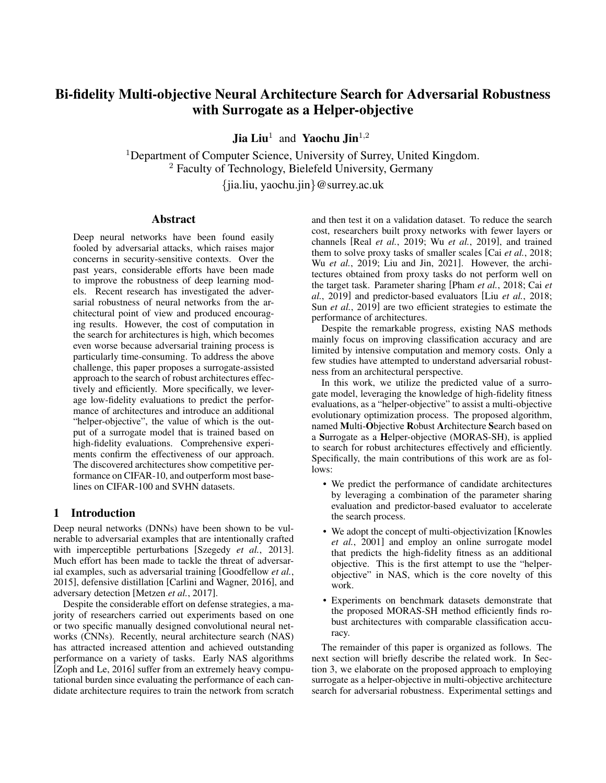implementation details are presented in Section [4,](#page-3-0) followed by descriptions of the experimental results and discussion in Section [5.](#page-4-0) Finally, we summarize our findings along with future work.

# 2 Related Work

#### <span id="page-1-1"></span>2.1 Adversarial Attack and Defense

Deep learning models can be misled by adversarial attacks, such as fast gradient sign method (FGSM) [\[Goodfellow](#page-6-0) *et al.*[, 2015\]](#page-6-0), basic iterative method [\[Kurakin](#page-6-7) *et al.*, 2016], and C&W attack [\[Carlini and Wagner, 2017\]](#page-6-8). One of the strongest adversarial attacks, PGD [\[Madry](#page-7-7) *et al.*, 2018], which combines randomized initialization with multi-step attacks, can be expressed as follows:

$$
\mathbf{X}_0 = \mathbf{X} + \mathcal{U}(-\epsilon, \epsilon), \tag{1}
$$

$$
\mathbf{X}_{n+1} = \mathbf{x}_{n+1} \left\{ \mathbf{X}_n + \alpha \cdot \text{sign}(\nabla_{\mathbf{X}_n^*} J(\mathbf{X}_n, y)) \right\} (2)
$$

where  $X$  denotes the adversarial examples,  $X$  denotes the original examples, U refers to a uniform distribution,  $\epsilon$  is a hyper-parameter that controls the magnitude of the disturbance,  $\alpha$  represents the step size, y denotes the true label, and  $X_{\epsilon}(B)$  denotes the projection to  $B(\mathbf{X}, \epsilon)$ .

Extensive counter-measures have been designed to improve the robustness of deep learning models. The most effective and popular defense technique is adversarial training [\[Goodfellow](#page-6-0) *et al.*, 2015; Madry *et al.*[, 2018\]](#page-7-7), which improves the robustness of a network by training it together with adversarial examples. Adversarial training works by minimizing the weighted training loss on clean and adversarial examples. In this work, we employ PGD adversarial training (PGD-AT) to train the supernet and the architectures that are going to be evaluated for final evaluation. The PGD-AT process can be mathematically expressed as:

$$
\min_{\theta} \mathsf{E}_{(\mathbf{X},y)} \, D^J(PGD(\mathbf{X}, \cdot), y) \tag{3}
$$

where is the threat model.

#### 2.2 Neural Architecture Evaluators

Parameter sharing and predictor-based evaluators are two commonly used techniques to efficiently evaluate architectures without training each candidate architecture from scratch.

Parameter sharing [Pham *et al.*[, 2018\]](#page-7-5), also known as weight sharing, is the process of building and training a super-large network within a given search space, and then the subnet directly shares the parameters from supernet. This over-parameterized supernet will contain all possible subnets. Therefore, the evaluation of subnets greatly reduces the time to evaluate candidate architectures because they share the parameters of the supernet without training them from scratch. Sample-based single-path training is a common method for training the supernet, which is trained by uniform sampling or fair multipath sampling and optimizing single paths. After training, the supernet can act as a performance estimator for different paths. When choosing a path, it can be carried out through various search strategies, such as evolutionary algorithms or reinforcement learning.

The most popular predictor in NAS is the surrogate-based predictor [Sun *et al.*[, 2019\]](#page-7-6) based on supervised learning. To obtain the data for training the predictor, it is necessary to train a large number of architectures initially, which is prohibitively time-consuming. The predictor then takes the architecture descriptions as inputs, and outputs the predicted performance scores. Utilizing a good predictor, promising architectures can be selected to be evaluated by the expensive evaluator. The query time is short, which allows large amount of predictions to be made during NAS.

In summary, both one-shot evaluators and predictor-based evaluators can accelerate the NAS process. However, how to combine them effectively and further reduce the computational time remains a challenging topic [Liu *et al.*[, 2022\]](#page-6-9).

### 2.3 Evolutionary Multi-objective Neural Architecture Search

Differentiable NAS, reinforcement learning and Bayesian optimization based NAS methods usually transform multiobjective NAS into a single-objective one using scalarization or an additional constraint. However, scalarization approaches were shown to be not as efficient as Pareto approaches. Multi-objective EAs are popular in solving multiobjective problems and have been shown to be successful in finding a set of Pareto optimal neural architectures in NAS [\[Zhu and Jin, 2020;](#page-7-8) Yang *et al.*[, 2020;](#page-7-9) Hu *et al.*[, 2021;](#page-6-10) Lu *et al.*[, 2020\]](#page-7-10).

Despite remarkable progress, the research on multiobjective NAS for the resilience of architectures against adversarial attacks [\[Vargas and Kotyan, 2019;](#page-7-11) Guo *et al.*[, 2020;](#page-6-11) Yue *et al.*[, 2020;](#page-7-12) Xie *et al.*[, 2021\]](#page-7-13) has been sporadic. In our previous work, we introduced MORAS [\[Liu and Jin, 2021\]](#page-6-3) to search for architectures that are less sensitive to various adversarial attacks. However, the search process is timeconsuming because each architecture in the population must be trained to obtain the fitness values. This work, by contrast, combines supernet training with surrogates to assist the evaluation process, thereby further improving the search efficiency.

### <span id="page-1-0"></span>3 The Proposed Approach

In this section, we develop a multi-objective architecture search for adversarial robustness with a surrogate as a "helper-objective", namely MORAS-SH. As shown in Figure [1,](#page-2-0) MORAS-SH consists of three parts, i.e., architecture evolution, architecture evaluation, and architecture training.

We employ the elitist non-dominated sorting genetic algorithm (NSGA-II) [Deb *et al.*[, 2002\]](#page-6-12) as the baseline for architecture evolution. To efficiently evaluate the architectures, we estimate the performance of architectures on both clean images and adversarial examples by leveraging low-fidelity fitness evaluations. To guide the search for good solutions and help maintain diversity in the population, we train a surrogate by leveraging high-fidelity evaluations to predict the performance of the candidate architectures and the predicted value is used as a "helper-objective". The low-fidelity and highfidelity fitness values are obtained by inheriting weights W from a pre-trained supernet  $N$  on partial and full validation sets, respectively.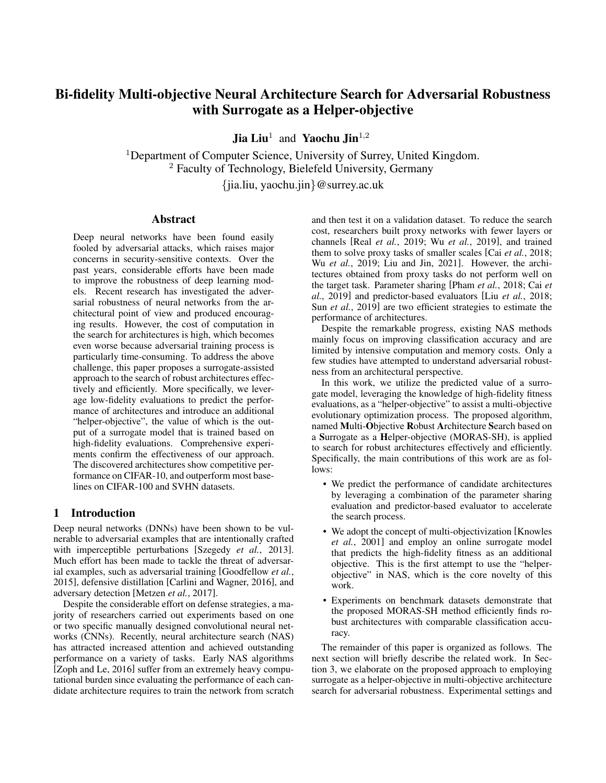<span id="page-2-0"></span>

Figure 1: Overall Framework.

### <span id="page-2-1"></span>3.1 Search Space and Embedding

The search space we use is the same as the stage-wise search space in [Ning *et al.*[, 2020a\]](#page-7-14). We use adjacency matrix encoding, which is the most common type of encodings used in current NAS research.

A surrogate model s, usually constructed by an MLP or RBF, takes a neural architecture as input and outputs a predicted score. Following [Ning *et al.*[, 2020a\]](#page-7-14), this work takes a graph-based neural architecture encoder called GATES [\[Ning](#page-7-15) *et al.*[, 2020b\]](#page-7-15) that maps a neural architecture into a continuous embedding space, and then concatenate the embeddings of the four stage-wise block topologies as the architecture embedding.

## <span id="page-2-2"></span>3.2 Multi-objectivization

Multi-objectivization [\[Knowles](#page-6-6) *et al.*, 2001] was intended to decompose a single-objective optimization problem into subobjectives to reduce local optima. The concept of multiobjectivezation is developed by simultaneously optimizing the primary objective and some helper-objectives [\[Jensen,](#page-6-13) [2004\]](#page-6-13). Some research [Huang *et al.*[, 2020\]](#page-6-14) also adds a helper-objective to multi-objective optimization problems to further enhance the performance. With the help of multiobjectivization, the optimizer can perform better than focusing on the primary objectives only because the helperobjective helps maintain diversity, and guides the search away from local optima.

In this work, we include the predicted score of a surrogate as an helper-objective, where the primary objectives are the accuracy and robustness of networks. Although multiobjectivization has been used in many studies to solve difficult optimization problems, it is the first attempt to employ it in NAS and it is also novel to utilize the predicted values of a surrogate model as a helper-objective.

Both the evaluations using the low-fidelity fitness functions and surrogate models are computationally cheap yet correlated with the high-fidelity fitness function. However, neither of them is accurate enough to find a satisfactory solution to a bi-fidelity optimization problem. Moreover, the estimated performance according to the low-fidelity evaluation may be inconsistent with the one predicted by a surrogate. Hence, we use the predicted scores obtained from a surrogate as an additional objective to assist the evolutionary process with lowfidelity evaluation. We formulate NAS as the following threeobjective minimization problem:

$$
\min: F(x) = \{f_1, f_2, f_3\} \tag{4}
$$

$$
f_1(x) = f_1^l(x) = 1 - (\frac{1}{N} \sum |(\hat{y} = y))
$$
 (5)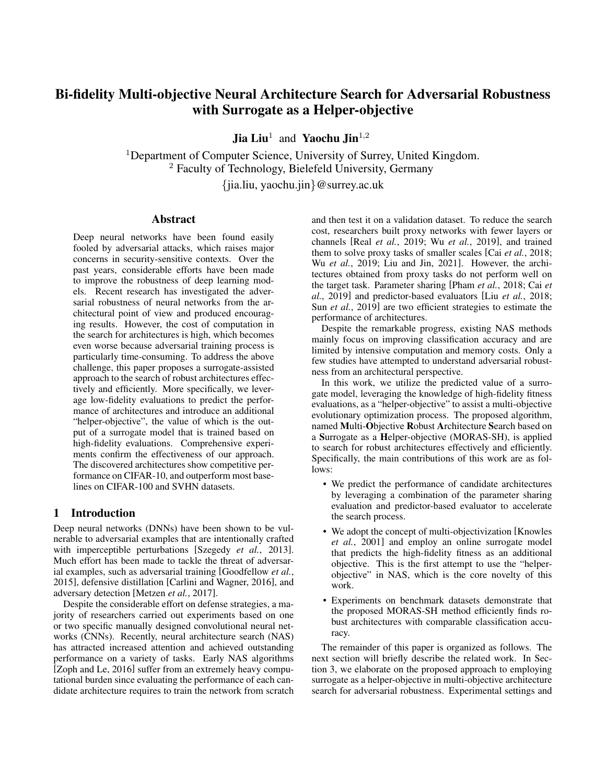$$
f_2(x) = f_2^l(x) = 1 - \left(\frac{1}{N} \sum |\langle \hat{y}_{adv} = y \rangle\rangle\right) \tag{6}
$$

$$
f_3(x) = f_s(x) \tag{7}
$$

where  $f_1(x)$ ,  $f_2(x)$  are the primary objectives,  $\{f_1^l(x)$ ,  $f_2^l(x)$ } denote low-fidelity fitness evaluations calculated by the error rate on the partial validation set. The candidate architectures inherit parameters from the supernet directly, so the computational cost is less expensive.  $f_3(x)$  represents the "helper-objective", which equals the predicted score  $f_s(x)$  of the surrogate model.

The surrogate model is trained to approximate high-fidelity fitness using data  $S$ . Initially, we sample  $m$  solutions using the Latin hypercube sampling [\[Stein, 1987\]](#page-7-16) and calculate their fitness using the high-fidelity evaluation, which is calculated by the error rate on the entire validation set. The inputs of the surrogate model are the values of architectures after embedding by using GATES [Ning *et al.*[, 2020b\]](#page-7-15). The approximation error of the surrogate model is inevitable. Therefore, infilling samples from the current population will be added to  $S$  after evolving  $G$  generations. As suggested in [Wang *et al.*[, 2020\]](#page-7-17), we select promising and uncertain solutions as infilling samples.

## 3.3 Overall Framework

The MORAS-SH workflow is composed of the following three steps:

- 1. Supernet Training. In a predefined architecture search space (Sec. [3.1\)](#page-2-1), we adversarially train a supernet  $\mathcal N$ by using a 7-step PGD attack (PGD-7) (Sec. [2.1\)](#page-1-1) on training data  $D_{tr}$ .
- 2. Architecture Evolution. We randomly initialize a population  $P_0$  with n individuals (candidate topologies). For each individual, the low-fidelity evaluation is used to estimate its fitness values and the predicted score obtained from a surrogate model is used as a "helper-objective" (Sec. [3.2\)](#page-2-2). The individuals in the population are gradually updated according to NSGA-II during the architecture optimization step. Concretely, we employ simulated binary crossover (SBX) and polynomial mutation (PM) [Deb *et al.*[, 1995\]](#page-6-15) to generate offspring. This process repeats  $G$  iterations and then  $k$  individuals from the current population are selected according to the infill criterion. The surrogate model will be updated using  $S$ .
- 3. Final Training. Since we evaluate the candidate architectures during the search process by using low-fidelity evaluation with the surrogate as a helper-objective, the evaluations are of low precision. We consider this process as a pre-screening criterion. After the computation budget is exhausted, we evaluate all the non-dominant solutions in  $\hat{A}$  from the pre-screening criterion on the complete validation set with high fidelity to conduct secondary screening and then filter out the non-dominated solutions A for final adversarial training from scratch on fully training data  $D$  using PGD-AT.

# <span id="page-3-0"></span>4 Experimental Settings

### 4.1 Datasets

Three widely-studied datasets are involved in the experiments, CIFAR-10 [\[Krizhevsky](#page-6-16) *et al.*, 2010], CIFAR-100 [\[Krizhevsky](#page-6-17) *et al.*, 2009] and Street View House Numbers (SVHN) [\[Netzer](#page-7-18) *et al.*, 2011]. We conduct a robust architecture search on CIFAR-10, and evaluate the discovered architectures on the CIFAR-10, CIFAR-100 and SVHN datasets.

#### 4.2 Peer Competitors

The first group of baselines includes MobileNet-V2 [\[Sandler](#page-7-19) *et al.*[, 2018\]](#page-7-19), VGG-16 [\[Simonyan and Zisserman, 2014\]](#page-7-20), and ResNet-18 [He *et al.*[, 2016\]](#page-6-18), which are manually designed by human experts. The second group represents NAS-based approaches in a search space that is similar to ours, including RobNet-Free [Guo *et al.*[, 2020\]](#page-6-11), MSRobNet-1560 [\[Ning](#page-7-14) *et al.*[, 2020a\]](#page-7-14) and MSRobNet-1560-P [Ning *et al.*[, 2020a\]](#page-7-14). The third group of competitors are conducted for ablation study. The main components of MORAS-SH include high-fidelity evaluation, low-fidelity evaluation, and surrogate modeling, which are actually part of the pre-screening of robust architectures. We conduct experiments with each components, which are termed MORAS-H, MORAS-L, MORAS-S.

#### 4.3 Implementation Details

We used NVIDIA Titan RTX GPUs and implemented the experiments using PyTorch. PGD-7 under  $\ell_1$  norm with  $\epsilon = 8/255$  and step size  $\eta = 2/255$  is used for adversarial training.

We train the supernet with initial channel number of 44 for 400 epochs. We use an SGD optimizer with a batch size of 64, a weight decay of 1e-4, and a momentum of 0.9. The learning rate is initially set to 0.05 and decayed to 0 following a cosine schedule.

During the search process, we employ RBF and MLP as the surrogate separately. After GATES embedding, a 128 dimensional vector is fed into the surrogate. We sample 200 architectures to train an initial surrogate.

To limit the computational overhead, we set the maximum search time as three days. The portion of low-fidelity evaluation data is set to 0.2 according to [Zhou *et al.*[, 2021\]](#page-7-21). To further alleviate the computational burden, we use the FGSM attack as an efficiency proxy [Ning *et al.*[, 2020a\]](#page-7-14) of the PGD-7 since NAS does not necessarily require accurate performance and the evaluation could be accelerated by roughly  $8 \times$ . We use a population size of 100 and update the surrogate every 20 iterations. Ten samples will be infilled to the set  $S$ . The probabilities for crossover and mutation are set to 0.9 and 0.02, respectively.

For better performance, we augmented the initial channels of the architectures for the final training to 55. For the final comparison on CIFAR-10, CIFAR-100 and SVHN, we adversarially train the architectures for 110 epochs on CIFAR-10/CIFAR-100 and 50 epochs on SVHN, using PGD-7 attacks with  $\epsilon = 8/255$  and step size  $\eta = 2/255$ , and other settings are also kept the same.

To evaluate the adversarial robustness of the trained models, we apply the FGSM [\[Goodfellow](#page-6-0) *et al.*, 2015] with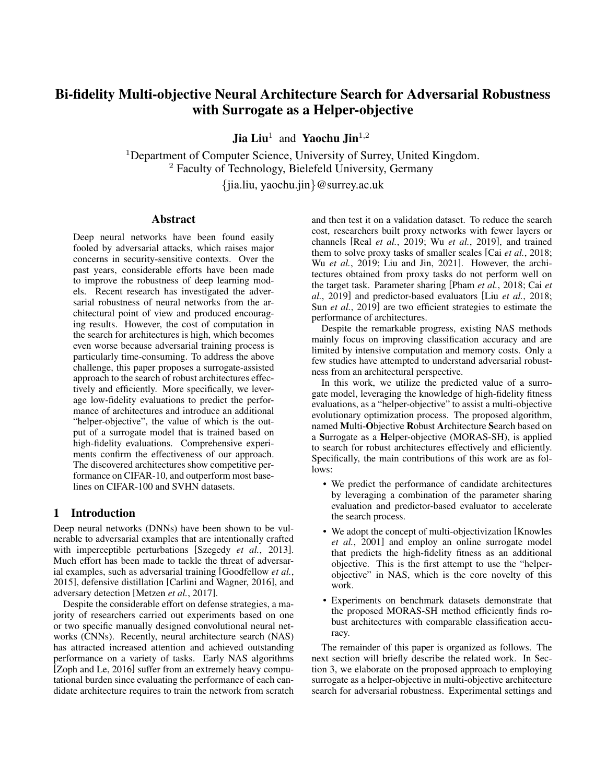$\epsilon = 8/255$  and PGD [\[Madry](#page-7-7) *et al.*, 2018] with different step numbers.

## <span id="page-4-0"></span>5 Experimental Results

#### 5.1 Performance of MORAS-SH on CIFAR-10

From the set of non-dominated solutions returned after the evolution, we obtained 91 and 43 architectures by using the proposed MORAS-SH with a surrogate of RBF and MLP, respectively. After the second screening by high-fidelity evaluation, the number of non-dominated solutions both reduce to eight. We then fully train the 16 architectures and choose three architectures for each method based on their trade-offs.

Table [1](#page-5-0) compares the performances of the architectures under various adversarial attacks. The architectures discovered by our method are referred to as MORAS-SHNets, where MORAS-SHNet-M and MORAS-SHNet-R represent the architectures obtained by MORAS-SH with an MLP and RBF as the surrogate, respectively. The results of RobNets-Free and MORobNet series are extracted from [Guo *et al.*[, 2020\]](#page-6-11) and [Ning *et al.*[, 2020a\]](#page-7-14), respectively.

As can be seen from Table [1,](#page-5-0) our MORAS-SHNet-R1 achieves 86% accuracy on clean data sets, outpacing all competitors. Under the FGSM attack, our MORAS-SHNet-M2 achieves an accuracy of 60.1%, which is also the best result among the competitors. Under the PGD-7 attack, MORAS-SHNet-R2 achieves 56.2% accuracy, the same as the MSRobNet-1560, which is also the highest. Under the PGD-20 and PGD-100 attacks, the best results are achieved by MSRobNet-1560, and our MORAS-SHNet-R2 and MORAS-SHNet-R3 are the second best.

We can see that the architectures discovered by MORAS-SHNets significantly outperform the manually designed CNNs under FGSM and strong adversarial attacks (PGD-7/10/100). With a similar number of parameters, MORAS-SHNets outperform other NAS-based peer competitors on clean samples and the samples with FGSM and PGD-7 attack. Moreover, the computational cost of MORAS-SH is smaller than the MSRobNet series since only one supernet is trained instead of eight. It illustrates that our approach can effectively and efficiently search for architectures with adversarial robustness.

#### 5.2 Transferability to CIFAR-100 and SVHN

In line with the practice adopted in most previous NAS methods [Ning *et al.*[, 2020a\]](#page-7-14), we evaluate the transferability of the obtained architectures by inheriting the topology optimized for one dataset with weights retrained for a new dataset. We train MORAS-SHNets on CIFAR-100 and SVHN, and present the comparative results in Table [2.](#page-5-1)

In general, our models are consistently more robust than manually designed networks on both CIFAR-100 and SVHN. As shown in Table [2,](#page-5-1) on SVHN, our MORAS-SHNet-M3 outperforms all peer competitors in all cases, the results under different adversarial attacks are much better than the peer competitors. MORAS-SHNet-R1 outperforms others on clean CIFAR-100. However, the overall performance of our network is not as good as MSRobNet. Therefore, the transferability of this method needs to be improved. In the future,

<span id="page-4-1"></span>

Figure 2: Pareto fronts obtained by comparative experiments. The parameters are inherited from the supernet.

we will investigate how to enhance the transferability of the network.

#### 5.3 Ablation Study

This section aims to disentangle the individual contribution of each main component in the proposed method. In the ablation experiment, we assume that the fitness values obtained by the parameters of the architectures inherited directly from the supernet after a complete validation set test are relatively accurate, that is, we use high-fidelity evaluation to measure the performance of the algorithms under comparison in the pre-screening process. To be fair, all experiments are terminated for three days.

Over a three-day evolutionary process, we obtained the non-dominated solutions of each experiment for prescreening. The method we propose, with the surrogate model as a helper-objective, has a large number of solutions obtained in the pre-screening. We draw the Pareto frontier obtained after a high-fidelity evaluation of the predicted non-dominated solution obtained after three days of running each experiment on Fig. [2.](#page-4-1)

As can be seen from Fig. [2,](#page-4-1) the solutions obtained by MORAS-H, MORAS-L, MORAS-S-M and MORAS-S-R are dominated by the solutions obtained by the methods we propose. The solutions obtained by MORAS-L is comparable to our method, and in order to prove the superiority of our method, we further trained them from scratch in a complete adversarial training on CIFAR-10. We show the performance of each network after training in Figure [3.](#page-5-2) As shown in Figure [3,](#page-5-2) the architectures that MORAS-L searched for are dominated by most of the architectures we searched. This further validates the effectiveness of our surrogate model as a helperobjective.

Here we list why separately considering different parts fails to obtain promising Pareto fronts. Evaluating each candidate architecture through high-fidelity evaluations at each iteration is prohibitively expensive. With a given budget, MORAS-H can iterate only a few generations, leading to MORAS-H's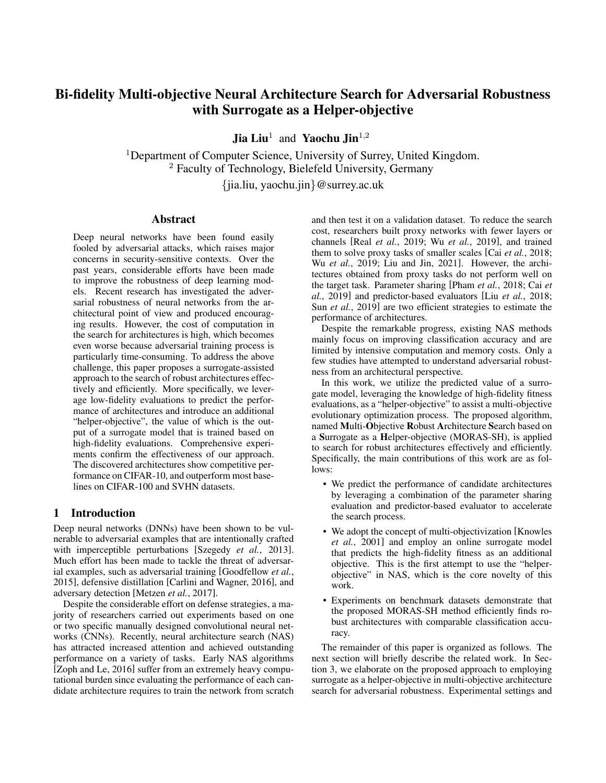<span id="page-5-0"></span>

|                            | Architecture    | Clean $(\% )$ | $FGSM(\%)$ | $PGD-7(%)$ | PGD-20 $(\% )$ | $PGD-100(%)$ | $\#Para(M)$ | FLOPS (M) |
|----------------------------|-----------------|---------------|------------|------------|----------------|--------------|-------------|-----------|
| Manually designed networks | MobileNet-V2    | 77.0          | 53.0       | 50.1       | 48.0           | 47.8         | 2.30        | 182       |
|                            | VGG-16          | 79.9          | 53.7       | 50.4       | 48.1           | 47.9         | 14.73       | 626       |
|                            | ResNet-18       | 83.9          | 57.9       | 54.5       | 51.9           | 51.5         | 11.17       | 1110      |
| NAS-based methods          | RobNet-Free     | 82.8          | 58.4       | 55.1       | 52.7           | 52.6         | 5.49        | 1560      |
|                            | MSRobNet-1560   | 84.8          | 60.0       | 56.2       | 53.4           | 52.9         | 5.30        | 1588      |
|                            | MSRobNet-1560-P | 85.2          | 59.4       | 55.2       | 51.9           | 51.5         | 4.88        | 1565      |
| Ours                       | MORAS-SHNet-M1  | 85.8          | 59.4       | 55.5       | 52.5           | 52.1         | 5.22        | 1634      |
|                            | MORAS-SHNet-M2  | 85.4          | 60.1       | 55.8       | 52.9           | 52.4         | 5.05        | 1606      |
|                            | MORAS-SHNet-M3  | 85.5          | 59.6       | 55.6       | 52.8           | 52.5         | 5.20        | 1661      |
|                            | MORAS-SHNet-R1  | 86.0          | 59.9       | 55.4       | 52.1           | 51.6         | 5.60        | 1525      |
|                            | MORAS-SHNet-R2  | 85.6          | 59.9       | 56.2       | 53.1           | 52.6         | 5.42        | 1471      |
|                            | MORAS-SHNet-R3  | 85.1          | 59.9       | 55.8       | 53.0           | 52.7         | 5.41        | 1484      |
|                            |                 |               |            |            |                |              |             |           |

Table 1: Comparison with peer competitors under various adversarial attacks on CIFAR-10.

Table 2: Comparison with peer competitors under various adversarial attacks on CIFA-100 and SVHN.

<span id="page-5-1"></span>

|                | CIFAR-100                |                       |             |                          |                  | <b>SVHN</b> |                    |               |             |              |  |
|----------------|--------------------------|-----------------------|-------------|--------------------------|------------------|-------------|--------------------|---------------|-------------|--------------|--|
| Architecture   | Clean $(\%)$             | <b>FGSM</b><br>$($ %) | (%<br>PGD-7 | $PGD-20(%)$              | $PGD-100$<br>(%) | (%<br>Clean | <b>FGSM</b><br>(%) | $PGD-7$<br>(% | $PGD-20(%)$ | $PGD-100(%)$ |  |
| MobileNet-V2   | 48.2                     | 28.1                  | 27.3        | 26.3                     | 26.2             | 93.9        | 73.0               | 61.9          | 55.7        | 53.9         |  |
| $VGG-16$       | 51.5                     | 29.1                  | 27.1        | 25.8                     | 25.8             | 92.3        | 66.6               | 55.0          | 47.4        | 45.1         |  |
| ResNet-18      | 59.2                     | 33.8                  | 31.6        | 29.9                     | 29.7             | 92.3        | 73.5               | 57.4          | 51.2        | 48.8         |  |
| RobNet-Free    | $\overline{\phantom{0}}$ | $\sim$                | $\sim$      | $\overline{\phantom{0}}$ | 23.9             | 94.2        | 84.0               | 66.1          | 59.7        | 56.9         |  |
| MSRobNet-1560  | 60.8                     | 35.1                  | 33.2        | 31.7                     | 31.5             | 95.0        | 77.5               | 64.0          | 57.0        | 54.2         |  |
| MSRobNet-2000  | 61.6                     | 34.8                  | 32.9        | 31.6                     | 31.5             | 94.9        | 84.8               | 65.3          | 58.8        | 55.1         |  |
| MORAS-SHNet-M1 | 61.4                     | 32.9                  | 30.5        | 28.6                     | 28.4             | 94.8        | 86.7               | 78.4          | 66.0        | 61.2         |  |
| MORAS-SHNet-M2 | 61.2                     | 34.1                  | 30.9        | 29.1                     | 28.8             | 94.4        | 84.3               | 65.3          | 58.6        | 55.6         |  |
| MORAS-SHNet-M3 | 61.5                     | 33.9                  | 32.6        | 29.5                     | 29.3             | 95.8        | 90.6               | 85.7          | 73.7        | 66.3         |  |
| MORAS-SHNet-R1 | 61.8                     | 34.1                  | 30.8        | 28.6                     | 28.2             | 94.9        | 85.4               | 64.1          | 57.8        | 54.9         |  |
| MORAS-SHNet-R2 | 61.4                     | 33.0                  | 30.6        | 28.9                     | 28.5             | 94.3        | 83.9               | 63.8          | 58.1        | 55.4         |  |
| MORAS-SHNet-R3 | 61.4                     | 33.0                  | 33.1        | 31.3                     | 31.2             | 94.7        | 77.3               | 61.4          | 55.1        | 52.8         |  |

<span id="page-5-2"></span>

Figure 3: The performance of architectures obtained by comparative experiments after adversarial training from scratch.

inability to find better architectures in a vast search space. If using low-fidelity evaluation merely during the search process, MORAS-L can search for more generations in a limited time budget. However, the diversity of solutions is poor, and the number of non-dominated solutions obtained after the search is also small. If using the surrogate model merely in the search process, the search will be misled due to the inaccurate prediction results of the previous surrogate model. Even if the surrogate model is gradually updated with the generation increases, the range of predicted values of the updated surrogate model also changes. This means that if the surrogate model becomes more accurate, but its predictions are not as good as the previous generation of individuals, such excellent individuals will also be eliminated. In other work [\[Ning](#page-7-15) *et al.*[, 2020b;](#page-7-15) Ning *et al.*[, 2020a\]](#page-7-14), researchers have trained a surrogate model with the relative ranking rather than the absolute performance values, which does not arise from the above problems. In future studies, we will introduce relative ranking into multi-objective evolutionary searches.

### 5.4 Discussion

To search for robust network architectures at a limited computational cost, we combined weight sharing and a surrogateassisted approach. By using the surrogate model as an additional objective, we found that our approach can efficiently and effectively search for robust architectures compared to peer competitors on the CIFAR-10 dataset. And the network architecture is also transferable, especially on the SVHN dataset.

In terms of computational cost, we only pre-train one supernet at a time, and then inherit the parameters of the supernet when evaluating the candidate architecture, which greatly reduces the time required to evaluate the performance of the network. Moreover, we used a combination of low-fidelity evaluations and surrogate models to further speed up the search efficiency. The performance of the network obtained by our method is comparable to that of MSRobNets, but the computational cost is much less, since MSRobNets need to train eight supernets. It demonstrates that our approach can efficiently search for robust networks.

The time complexity of NSGA-II per generation is  $O(MN^2)$ . The number of objectives M is two if we merely consider the primary objectives. The computational complex-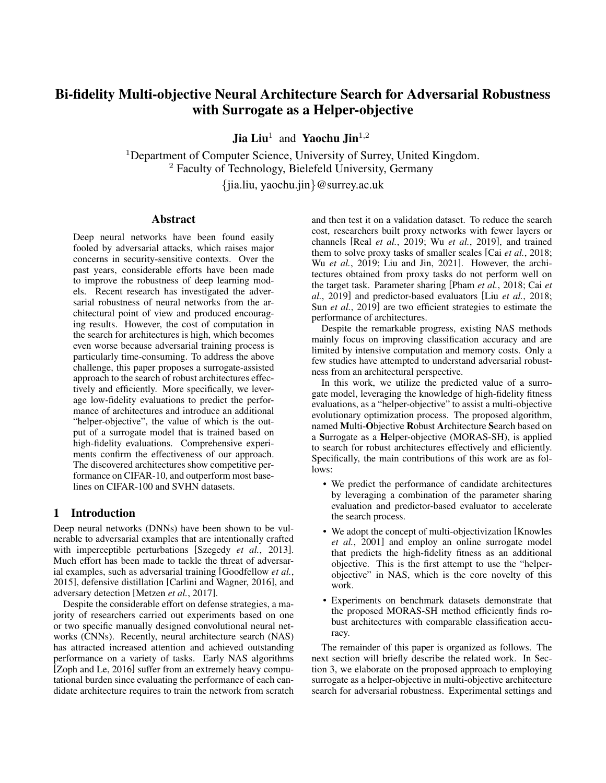ity will increase to  $O(4N^2)$  if we consider accuracy and adversarial robustness predicted by the surrogate model separately. In this work, we employ a weighted sum of the clean and adversarial error rates as a label for the architecture to simplify the optimization problem and reduce the difficulty of training the surrogate model. That is, the predicted score and helper-objective are only one dimension instead of two. The weights are both set to 0.5 for the sake of simplicity. Therefore, the time complexity is  $O(3N^2)$ .

## 6 Conclusion

We employ an MOEA-based NAS approach to search for architectures that are robust to adversarial attacks. To make the procedure efficient, we propose a multi-objective architecture search for adversarial robustness with the assistance of a surrogate as a "helper-objective", namely, MORAS-SH. During evolution, MORAS-SH maximally utilizes the learned knowledge from both low- and high-fidelity fitness. Experiments results on benchmark datasets demonstrate that the proposed MORAS-SH can efficiently provide several architectures on the Pareto front. The searched models are also superior to peer competitors in terms of robustness and accuracy.

Most research on NAS for robust architectures focuses on network architectures that perform well on both clean and adversarial examples but ignoring those that perform well on clean data sets but are sensitive to attacks. Few researchers have studied what kind of network topology or parameters cause this phenomenon. It is an interesting topic to study networks that perform well on clean data but are sensitive to attacks, and it will help to further understand the intrinsic nature of neural networks. Early detection of structural factors that make networks sensitive can accelerate the discovery and design of more robust networks.

## References

- <span id="page-6-2"></span>[Cai *et al.*, 2018] Han Cai, Tianyao Chen, Weinan Zhang, Yong Yu, and Jun Wang. Efficient architecture search by network transformation. In *Proceedings of the AAAI Conference on Artificial Intelligence*, volume 32, 2018.
- <span id="page-6-4"></span>[Cai et al., 2019] Han Cai, Chuang Gan, and Song Han. Once for all: Train one network and specialize it for efficient deployment. *arXiv preprint arXiv:1908.09791*, 2019.
- <span id="page-6-1"></span>[Carlini and Wagner, 2016] Nicholas Carlini and David Wagner. Defensive distillation is not robust to adversarial examples. *arXiv preprint arXiv:1607.04311*, 2016.
- <span id="page-6-8"></span>[Carlini and Wagner, 2017] Nicholas Carlini and David Wagner. Towards evaluating the robustness of neural networks. In *2017 IEEE Symposium on Security and Privacy (SP)*, pages 39–57. IEEE, 2017.
- <span id="page-6-15"></span>[Deb *et al.*, 1995] Kalyanmoy Deb, Ram Bhushan Agrawal, et al. Simulated binary crossover for continuous search space. *Complex systems*, 9(2):115–148, 1995.
- <span id="page-6-12"></span>[Deb *et al.*, 2002] Kalyanmoy Deb, Amrit Pratap, Sameer Agarwal, and TAMT Meyarivan. A fast and elitist multiobjective genetic algorithm: NSGA-II. *IEEE Transactions on Evolutionary Computation*, 6(2):182–197, 2002.
- <span id="page-6-0"></span>[Goodfellow *et al.*, 2015] Ian J Goodfellow, Jonathon Shlens, and Christian Szegedy. Explaining and harnessing adversarial examples. In *International Conference on Learning Representations*, 2015.
- <span id="page-6-11"></span>[Guo *et al.*, 2020] Minghao Guo, Yuzhe Yang, Rui Xu, Ziwei Liu, and Dahua Lin. When NAS meets robustness: In search of robust architectures against adversarial attacks. In *Proceedings of the IEEE/CVF Conference on Computer Vision and Pattern Recognition*, pages 631–640, 2020.
- <span id="page-6-18"></span>[He *et al.*, 2016] Kaiming He, Xiangyu Zhang, Shaoqing Ren, and Jian Sun. Deep residual learning for image recognition. In *Proceedings of the IEEE Conference on Computer Vision and Pattern Recognition*, pages 770–778, 2016.
- <span id="page-6-10"></span>[Hu *et al.*, 2021] Shengran Hu, Ran Cheng, Cheng He, Zhichao Lu, Jing Wang, and Miao Zhang. Accelerating multi-objective neural architecture search by randomweight evaluation. *Complex & Intelligent Systems*, pages 1–10, 2021.
- <span id="page-6-14"></span>[Huang *et al.*, 2020] Yuanjun Huang, Yaochu Jin, and Kuangrong Hao. Decision-making and multi-objectivization for cost sensitive robust optimization over time. *Knowledge-Based Systems*, 199:105857, 2020.
- <span id="page-6-13"></span>[Jensen, 2004] Mikkel T Jensen. Helper-objectives: Using multi-objective evolutionary algorithms for singleobjective optimisation. *Journal of Mathematical Modelling and Algorithms*, 3(4):323–347, 2004.
- <span id="page-6-6"></span>[Knowles *et al.*, 2001] Joshua D Knowles, Richard A Watson, and David W Corne. Reducing local optima in single-objective problems by multi-objectivization. In *International conference on evolutionary multi-criterion optimization*, pages 269–283. Springer, 2001.
- <span id="page-6-17"></span>[Krizhevsky *et al.*, 2009] Alex Krizhevsky, Geoffrey Hinton, et al. Learning multiple layers of features from tiny images. 2009.
- <span id="page-6-16"></span>[Krizhevsky *et al.*, 2010] Alex Krizhevsky, Vinod Nair, and Geoffrey Hinton. Cifar-10 (canadian institute for advanced research). *URL http://www. cs. toronto. edu/kriz/cifar. html*, 8, 2010.
- <span id="page-6-7"></span>[Kurakin *et al.*, 2016] Alexey Kurakin, Ian Goodfellow, and Samy Bengio. Adversarial examples in the physical world. *arXiv preprint arXiv:1607.02533*, 2016.
- <span id="page-6-3"></span>[Liu and Jin, 2021] Jia Liu and Yaochu Jin. Multi-objective search of robust neural architectures against multiple types of adversarial attacks. *Neurocomputing*, 4 2021.
- <span id="page-6-5"></span>[Liu *et al.*, 2018] Chenxi Liu, Barret Zoph, Maxim Neumann, Jonathon Shlens, Wei Hua, Li-Jia Li, Li Fei-Fei, Alan Yuille, Jonathan Huang, and Kevin Murphy. Progressive neural architecture search. In *Proceedings of the European Conference on Computer Vision (ECCV)*, pages 19–34, 2018.
- <span id="page-6-9"></span>[Liu *et al.*, 2022] Shiqing Liu, Haoyu Zhang, and Yaochu Jin. A survey on surrogate-assisted efficient neural architecture search. *arXiv:2206.01520*, 2022.